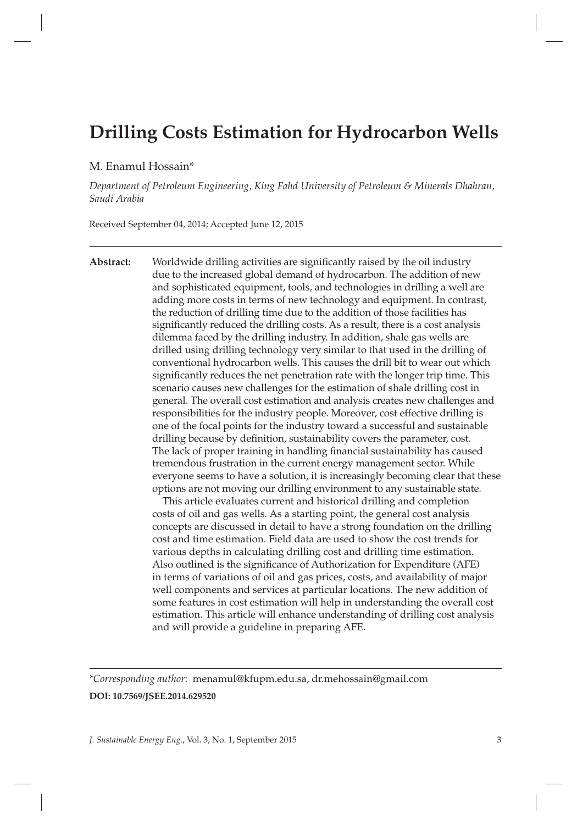# **Drilling Costs Estimation for Hydrocarbon Wells**

#### M. Enamul Hossain\*

*Department of Petroleum Engineering, King Fahd University of Petroleum & Minerals Dhahran, Saudi Arabia*

Received September 04, 2014; Accepted June 12, 2015

**Abstract:** Worldwide drilling activities are significantly raised by the oil industry due to the increased global demand of hydrocarbon. The addition of new and sophisticated equipment, tools, and technologies in drilling a well are adding more costs in terms of new technology and equipment. In contrast, the reduction of drilling time due to the addition of those facilities has significantly reduced the drilling costs. As a result, there is a cost analysis dilemma faced by the drilling industry. In addition, shale gas wells are drilled using drilling technology very similar to that used in the drilling of conventional hydrocarbon wells. This causes the drill bit to wear out which significantly reduces the net penetration rate with the longer trip time. This scenario causes new challenges for the estimation of shale drilling cost in general. The overall cost estimation and analysis creates new challenges and responsibilities for the industry people. Moreover, cost effective drilling is one of the focal points for the industry toward a successful and sustainable drilling because by definition, sustainability covers the parameter, cost. The lack of proper training in handling financial sustainability has caused tremendous frustration in the current energy management sector. While everyone seems to have a solution, it is increasingly becoming clear that these options are not moving our drilling environment to any sustainable state.

 This article evaluates current and historical drilling and completion costs of oil and gas wells. As a starting point, the general cost analysis concepts are discussed in detail to have a strong foundation on the drilling cost and time estimation. Field data are used to show the cost trends for various depths in calculating drilling cost and drilling time estimation. Also outlined is the significance of Authorization for Expenditure (AFE) in terms of variations of oil and gas prices, costs, and availability of major well components and services at particular locations. The new addition of some features in cost estimation will help in understanding the overall cost estimation. This article will enhance understanding of drilling cost analysis and will provide a guideline in preparing AFE.

*<sup>\*</sup>Corresponding author*: menamul@kfupm.edu.sa, dr.mehossain@gmail.com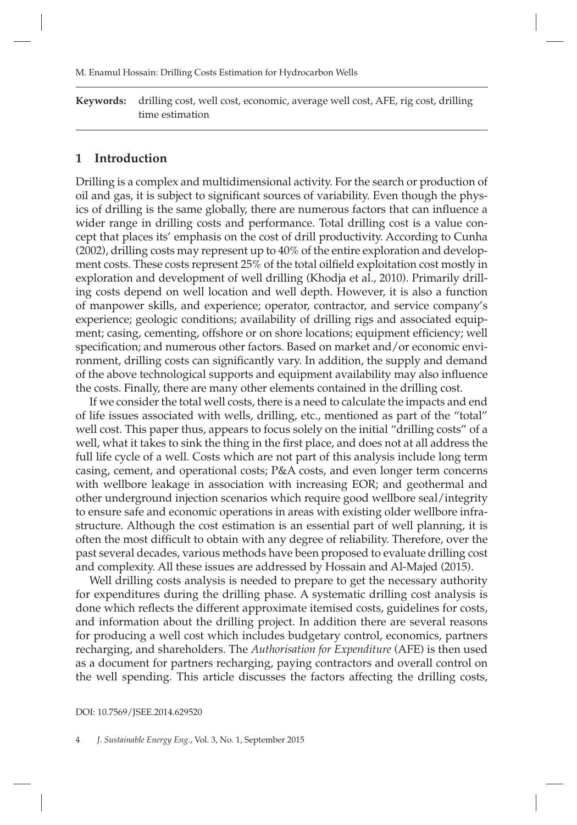**Keywords:** drilling cost, well cost, economic, average well cost, AFE, rig cost, drilling time estimation

#### **1 Introduction**

Drilling is a complex and multidimensional activity. For the search or production of oil and gas, it is subject to significant sources of variability. Even though the physics of drilling is the same globally, there are numerous factors that can influence a wider range in drilling costs and performance. Total drilling cost is a value concept that places its' emphasis on the cost of drill productivity. According to Cunha (2002), drilling costs may represent up to 40% of the entire exploration and development costs. These costs represent 25% of the total oilfield exploitation cost mostly in exploration and development of well drilling (Khodja et al., 2010). Primarily drilling costs depend on well location and well depth. However, it is also a function of manpower skills, and experience; operator, contractor, and service company's experience; geologic conditions; availability of drilling rigs and associated equipment; casing, cementing, offshore or on shore locations; equipment efficiency; well specification; and numerous other factors. Based on market and/or economic environment, drilling costs can significantly vary. In addition, the supply and demand of the above technological supports and equipment availability may also influence the costs. Finally, there are many other elements contained in the drilling cost.

If we consider the total well costs, there is a need to calculate the impacts and end of life issues associated with wells, drilling, etc., mentioned as part of the "total" well cost. This paper thus, appears to focus solely on the initial "drilling costs" of a well, what it takes to sink the thing in the first place, and does not at all address the full life cycle of a well. Costs which are not part of this analysis include long term casing, cement, and operational costs; P&A costs, and even longer term concerns with wellbore leakage in association with increasing EOR; and geothermal and other underground injection scenarios which require good wellbore seal/integrity to ensure safe and economic operations in areas with existing older wellbore infrastructure. Although the cost estimation is an essential part of well planning, it is often the most difficult to obtain with any degree of reliability. Therefore, over the past several decades, various methods have been proposed to evaluate drilling cost and complexity. All these issues are addressed by Hossain and Al-Majed (2015).

Well drilling costs analysis is needed to prepare to get the necessary authority for expenditures during the drilling phase. A systematic drilling cost analysis is done which reflects the different approximate itemised costs, guidelines for costs, and information about the drilling project. In addition there are several reasons for producing a well cost which includes budgetary control, economics, partners recharging, and shareholders. The *Authorisation for Expenditure* (AFE) is then used as a document for partners recharging, paying contractors and overall control on the well spending. This article discusses the factors affecting the drilling costs,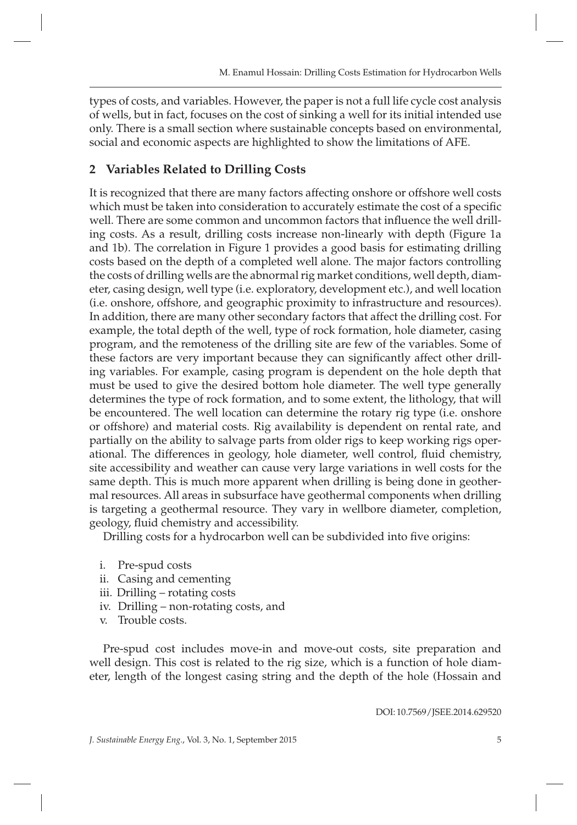types of costs, and variables. However, the paper is not a full life cycle cost analysis of wells, but in fact, focuses on the cost of sinking a well for its initial intended use only. There is a small section where sustainable concepts based on environmental, social and economic aspects are highlighted to show the limitations of AFE.

## **2 Variables Related to Drilling Costs**

It is recognized that there are many factors affecting onshore or offshore well costs which must be taken into consideration to accurately estimate the cost of a specific well. There are some common and uncommon factors that influence the well drilling costs. As a result, drilling costs increase non-linearly with depth (Figure 1a and 1b). The correlation in Figure 1 provides a good basis for estimating drilling costs based on the depth of a completed well alone. The major factors controlling the costs of drilling wells are the abnormal rig market conditions, well depth, diameter, casing design, well type (i.e. exploratory, development etc.), and well location (i.e. onshore, offshore, and geographic proximity to infrastructure and resources). In addition, there are many other secondary factors that affect the drilling cost. For example, the total depth of the well, type of rock formation, hole diameter, casing program, and the remoteness of the drilling site are few of the variables. Some of these factors are very important because they can significantly affect other drilling variables. For example, casing program is dependent on the hole depth that must be used to give the desired bottom hole diameter. The well type generally determines the type of rock formation, and to some extent, the lithology, that will be encountered. The well location can determine the rotary rig type (i.e. onshore or offshore) and material costs. Rig availability is dependent on rental rate, and partially on the ability to salvage parts from older rigs to keep working rigs operational. The differences in geology, hole diameter, well control, fluid chemistry, site accessibility and weather can cause very large variations in well costs for the same depth. This is much more apparent when drilling is being done in geothermal resources. All areas in subsurface have geothermal components when drilling is targeting a geothermal resource. They vary in wellbore diameter, completion, geology, fluid chemistry and accessibility.

Drilling costs for a hydrocarbon well can be subdivided into five origins:

- i. Pre-spud costs
- ii. Casing and cementing
- iii. Drilling rotating costs
- iv. Drilling non-rotating costs, and
- v. Trouble costs.

Pre-spud cost includes move-in and move-out costs, site preparation and well design. This cost is related to the rig size, which is a function of hole diameter, length of the longest casing string and the depth of the hole (Hossain and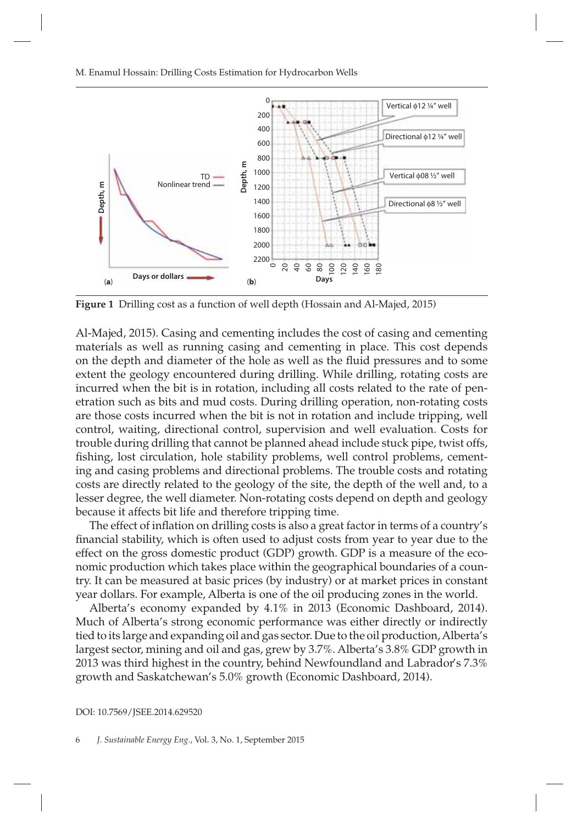

**Figure 1** Drilling cost as a function of well depth (Hossain and Al-Majed, 2015)

Al-Majed, 2015). Casing and cementing includes the cost of casing and cementing materials as well as running casing and cementing in place. This cost depends on the depth and diameter of the hole as well as the fluid pressures and to some extent the geology encountered during drilling. While drilling, rotating costs are incurred when the bit is in rotation, including all costs related to the rate of penetration such as bits and mud costs. During drilling operation, non-rotating costs are those costs incurred when the bit is not in rotation and include tripping, well control, waiting, directional control, supervision and well evaluation. Costs for trouble during drilling that cannot be planned ahead include stuck pipe, twist offs, fishing, lost circulation, hole stability problems, well control problems, cementing and casing problems and directional problems. The trouble costs and rotating costs are directly related to the geology of the site, the depth of the well and, to a lesser degree, the well diameter. Non-rotating costs depend on depth and geology because it affects bit life and therefore tripping time.

The effect of inflation on drilling costs is also a great factor in terms of a country's financial stability, which is often used to adjust costs from year to year due to the effect on the gross domestic product (GDP) growth. GDP is a measure of the economic production which takes place within the geographical boundaries of a country. It can be measured at basic prices (by industry) or at market prices in constant year dollars. For example, Alberta is one of the oil producing zones in the world.

Alberta's economy expanded by 4.1% in 2013 (Economic Dashboard, 2014). Much of Alberta's strong economic performance was either directly or indirectly tied to its large and expanding oil and gas sector. Due to the oil production, Alberta's largest sector, mining and oil and gas, grew by 3.7%. Alberta's 3.8% GDP growth in 2013 was third highest in the country, behind Newfoundland and Labrador's 7.3% growth and Saskatchewan's 5.0% growth (Economic Dashboard, 2014).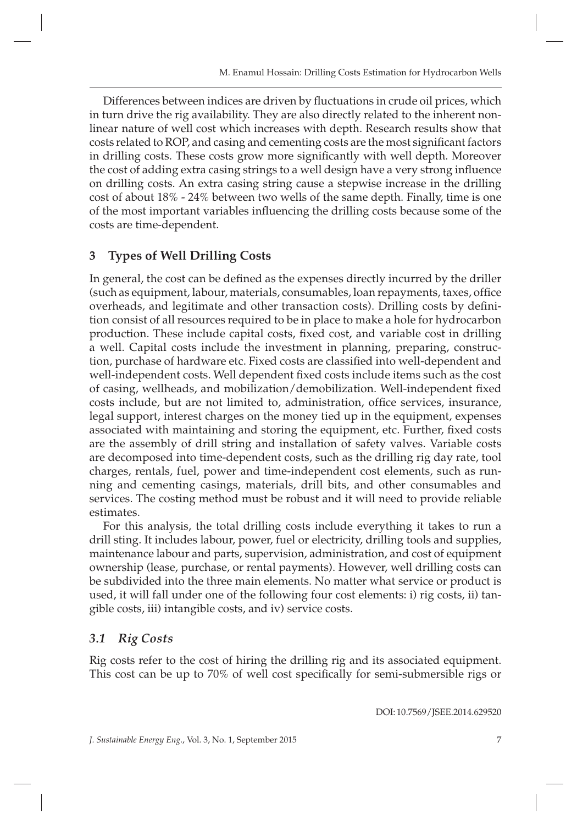Differences between indices are driven by fluctuations in crude oil prices, which in turn drive the rig availability. They are also directly related to the inherent nonlinear nature of well cost which increases with depth. Research results show that costs related to ROP, and casing and cementing costs are the most significant factors in drilling costs. These costs grow more significantly with well depth. Moreover the cost of adding extra casing strings to a well design have a very strong influence on drilling costs. An extra casing string cause a stepwise increase in the drilling cost of about 18% - 24% between two wells of the same depth. Finally, time is one of the most important variables influencing the drilling costs because some of the costs are time-dependent.

## **3 Types of Well Drilling Costs**

In general, the cost can be defined as the expenses directly incurred by the driller (such as equipment, labour, materials, consumables, loan repayments, taxes, office overheads, and legitimate and other transaction costs). Drilling costs by definition consist of all resources required to be in place to make a hole for hydrocarbon production. These include capital costs, fixed cost, and variable cost in drilling a well. Capital costs include the investment in planning, preparing, construction, purchase of hardware etc. Fixed costs are classified into well-dependent and well-independent costs. Well dependent fixed costs include items such as the cost of casing, wellheads, and mobilization/demobilization. Well-independent fixed costs include, but are not limited to, administration, office services, insurance, legal support, interest charges on the money tied up in the equipment, expenses associated with maintaining and storing the equipment, etc. Further, fixed costs are the assembly of drill string and installation of safety valves. Variable costs are decomposed into time-dependent costs, such as the drilling rig day rate, tool charges, rentals, fuel, power and time-independent cost elements, such as running and cementing casings, materials, drill bits, and other consumables and services. The costing method must be robust and it will need to provide reliable estimates.

For this analysis, the total drilling costs include everything it takes to run a drill sting. It includes labour, power, fuel or electricity, drilling tools and supplies, maintenance labour and parts, supervision, administration, and cost of equipment ownership (lease, purchase, or rental payments). However, well drilling costs can be subdivided into the three main elements. No matter what service or product is used, it will fall under one of the following four cost elements: i) rig costs, ii) tangible costs, iii) intangible costs, and iv) service costs.

## *3.1 Rig Costs*

Rig costs refer to the cost of hiring the drilling rig and its associated equipment. This cost can be up to 70% of well cost specifically for semi-submersible rigs or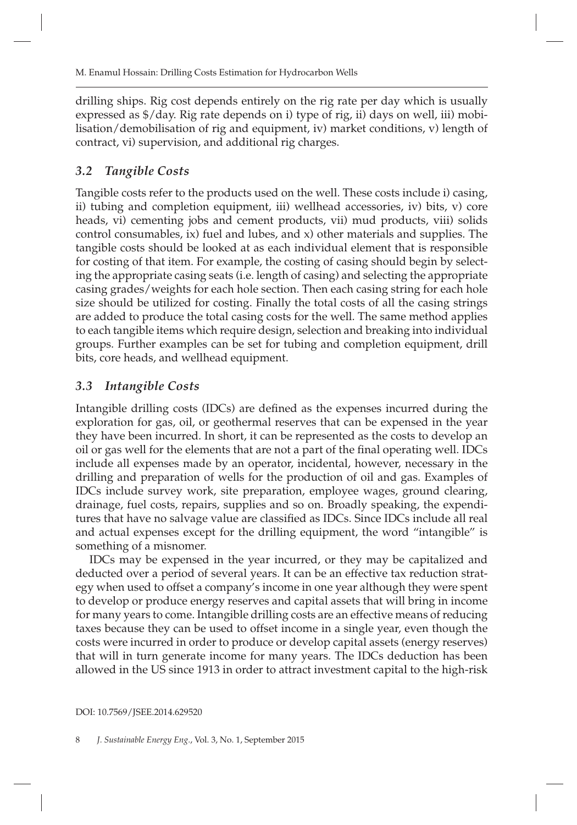drilling ships. Rig cost depends entirely on the rig rate per day which is usually expressed as \$/day. Rig rate depends on i) type of rig, ii) days on well, iii) mobilisation/demobilisation of rig and equipment, iv) market conditions, v) length of contract, vi) supervision, and additional rig charges.

## *3.2 Tangible Costs*

Tangible costs refer to the products used on the well. These costs include i) casing, ii) tubing and completion equipment, iii) wellhead accessories, iv) bits, v) core heads, vi) cementing jobs and cement products, vii) mud products, viii) solids control consumables, ix) fuel and lubes, and x) other materials and supplies. The tangible costs should be looked at as each individual element that is responsible for costing of that item. For example, the costing of casing should begin by selecting the appropriate casing seats (i.e. length of casing) and selecting the appropriate casing grades/weights for each hole section. Then each casing string for each hole size should be utilized for costing. Finally the total costs of all the casing strings are added to produce the total casing costs for the well. The same method applies to each tangible items which require design, selection and breaking into individual groups. Further examples can be set for tubing and completion equipment, drill bits, core heads, and wellhead equipment.

## *3.3 Intangible Costs*

Intangible drilling costs (IDCs) are defined as the expenses incurred during the exploration for gas, oil, or geothermal reserves that can be expensed in the year they have been incurred. In short, it can be represented as the costs to develop an oil or gas well for the elements that are not a part of the final operating well. IDCs include all expenses made by an operator, incidental, however, necessary in the drilling and preparation of wells for the production of oil and gas. Examples of IDCs include survey work, site preparation, employee wages, ground clearing, drainage, fuel costs, repairs, supplies and so on. Broadly speaking, the expenditures that have no salvage value are classified as IDCs. Since IDCs include all real and actual expenses except for the drilling equipment, the word "intangible" is something of a misnomer.

IDCs may be expensed in the year incurred, or they may be capitalized and deducted over a period of several years. It can be an effective tax reduction strategy when used to offset a company's income in one year although they were spent to develop or produce energy reserves and capital assets that will bring in income for many years to come. Intangible drilling costs are an effective means of reducing taxes because they can be used to offset income in a single year, even though the costs were incurred in order to produce or develop capital assets (energy reserves) that will in turn generate income for many years. The IDCs deduction has been allowed in the US since 1913 in order to attract investment capital to the high-risk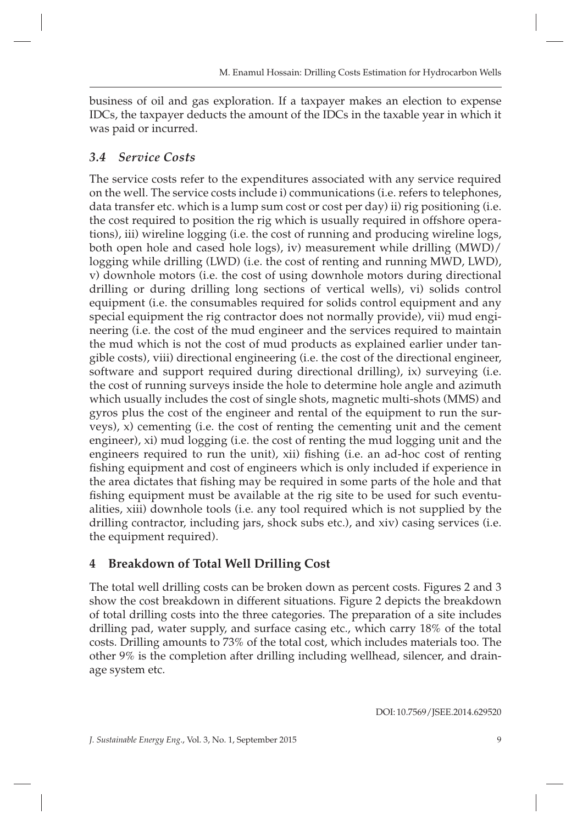business of oil and gas exploration. If a taxpayer makes an election to expense IDCs, the taxpayer deducts the amount of the IDCs in the taxable year in which it was paid or incurred.

## *3.4 Service Costs*

The service costs refer to the expenditures associated with any service required on the well. The service costs include i) communications (i.e. refers to telephones, data transfer etc. which is a lump sum cost or cost per day) ii) rig positioning (i.e. the cost required to position the rig which is usually required in offshore operations), iii) wireline logging (i.e. the cost of running and producing wireline logs, both open hole and cased hole logs), iv) measurement while drilling (MWD)/ logging while drilling (LWD) (i.e. the cost of renting and running MWD, LWD), v) downhole motors (i.e. the cost of using downhole motors during directional drilling or during drilling long sections of vertical wells), vi) solids control equipment (i.e. the consumables required for solids control equipment and any special equipment the rig contractor does not normally provide), vii) mud engineering (i.e. the cost of the mud engineer and the services required to maintain the mud which is not the cost of mud products as explained earlier under tangible costs), viii) directional engineering (i.e. the cost of the directional engineer, software and support required during directional drilling), ix) surveying (i.e. the cost of running surveys inside the hole to determine hole angle and azimuth which usually includes the cost of single shots, magnetic multi-shots (MMS) and gyros plus the cost of the engineer and rental of the equipment to run the surveys), x) cementing (i.e. the cost of renting the cementing unit and the cement engineer), xi) mud logging (i.e. the cost of renting the mud logging unit and the engineers required to run the unit), xii) fishing (i.e. an ad-hoc cost of renting fishing equipment and cost of engineers which is only included if experience in the area dictates that fishing may be required in some parts of the hole and that fishing equipment must be available at the rig site to be used for such eventualities, xiii) downhole tools (i.e. any tool required which is not supplied by the drilling contractor, including jars, shock subs etc.), and xiv) casing services (i.e. the equipment required).

## **4 Breakdown of Total Well Drilling Cost**

The total well drilling costs can be broken down as percent costs. Figures 2 and 3 show the cost breakdown in different situations. Figure 2 depicts the breakdown of total drilling costs into the three categories. The preparation of a site includes drilling pad, water supply, and surface casing etc., which carry 18% of the total costs. Drilling amounts to 73% of the total cost, which includes materials too. The other 9% is the completion after drilling including wellhead, silencer, and drainage system etc.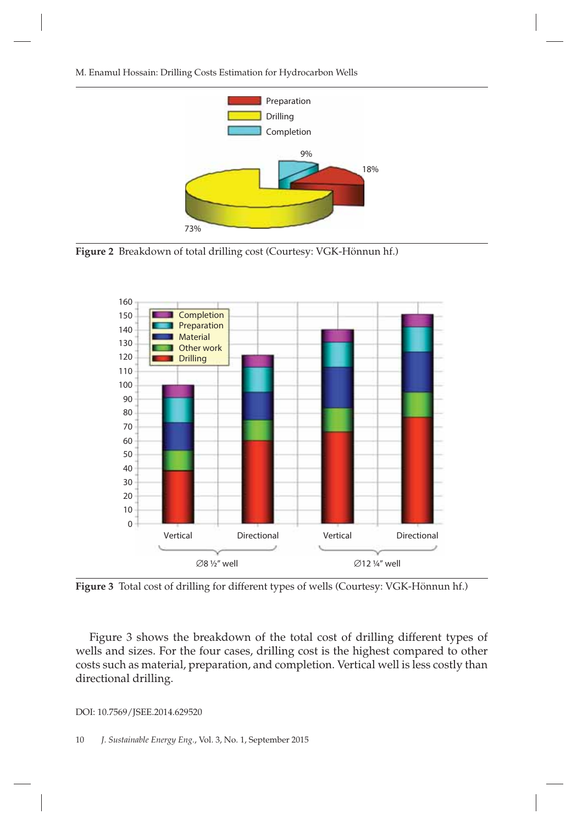M. Enamul Hossain: Drilling Costs Estimation for Hydrocarbon Wells



**Figure 2** Breakdown of total drilling cost (Courtesy: VGK-Hönnun hf.)



**Figure 3** Total cost of drilling for different types of wells (Courtesy: VGK-Hönnun hf.)

Figure 3 shows the breakdown of the total cost of drilling different types of wells and sizes. For the four cases, drilling cost is the highest compared to other costs such as material, preparation, and completion. Vertical well is less costly than directional drilling.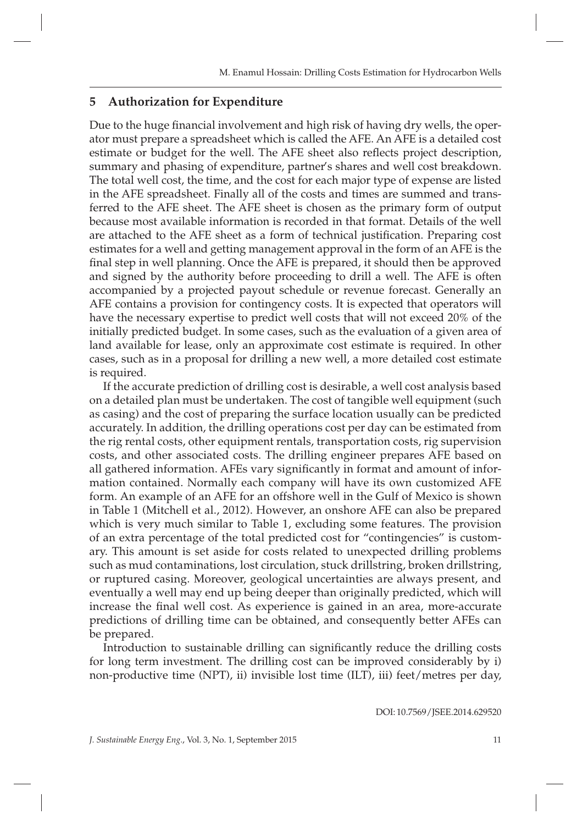#### **5 Authorization for Expenditure**

Due to the huge financial involvement and high risk of having dry wells, the operator must prepare a spreadsheet which is called the AFE. An AFE is a detailed cost estimate or budget for the well. The AFE sheet also reflects project description, summary and phasing of expenditure, partner's shares and well cost breakdown. The total well cost, the time, and the cost for each major type of expense are listed in the AFE spreadsheet. Finally all of the costs and times are summed and transferred to the AFE sheet. The AFE sheet is chosen as the primary form of output because most available information is recorded in that format. Details of the well are attached to the AFE sheet as a form of technical justification. Preparing cost estimates for a well and getting management approval in the form of an AFE is the final step in well planning. Once the AFE is prepared, it should then be approved and signed by the authority before proceeding to drill a well. The AFE is often accompanied by a projected payout schedule or revenue forecast. Generally an AFE contains a provision for contingency costs. It is expected that operators will have the necessary expertise to predict well costs that will not exceed 20% of the initially predicted budget. In some cases, such as the evaluation of a given area of land available for lease, only an approximate cost estimate is required. In other cases, such as in a proposal for drilling a new well, a more detailed cost estimate is required.

If the accurate prediction of drilling cost is desirable, a well cost analysis based on a detailed plan must be undertaken. The cost of tangible well equipment (such as casing) and the cost of preparing the surface location usually can be predicted accurately. In addition, the drilling operations cost per day can be estimated from the rig rental costs, other equipment rentals, transportation costs, rig supervision costs, and other associated costs. The drilling engineer prepares AFE based on all gathered information. AFEs vary significantly in format and amount of information contained. Normally each company will have its own customized AFE form. An example of an AFE for an offshore well in the Gulf of Mexico is shown in Table 1 (Mitchell et al., 2012). However, an onshore AFE can also be prepared which is very much similar to Table 1, excluding some features. The provision of an extra percentage of the total predicted cost for "contingencies" is customary. This amount is set aside for costs related to unexpected drilling problems such as mud contaminations, lost circulation, stuck drillstring, broken drillstring, or ruptured casing. Moreover, geological uncertainties are always present, and eventually a well may end up being deeper than originally predicted, which will increase the final well cost. As experience is gained in an area, more-accurate predictions of drilling time can be obtained, and consequently better AFEs can be prepared.

Introduction to sustainable drilling can significantly reduce the drilling costs for long term investment. The drilling cost can be improved considerably by i) non-productive time (NPT), ii) invisible lost time (ILT), iii) feet/metres per day,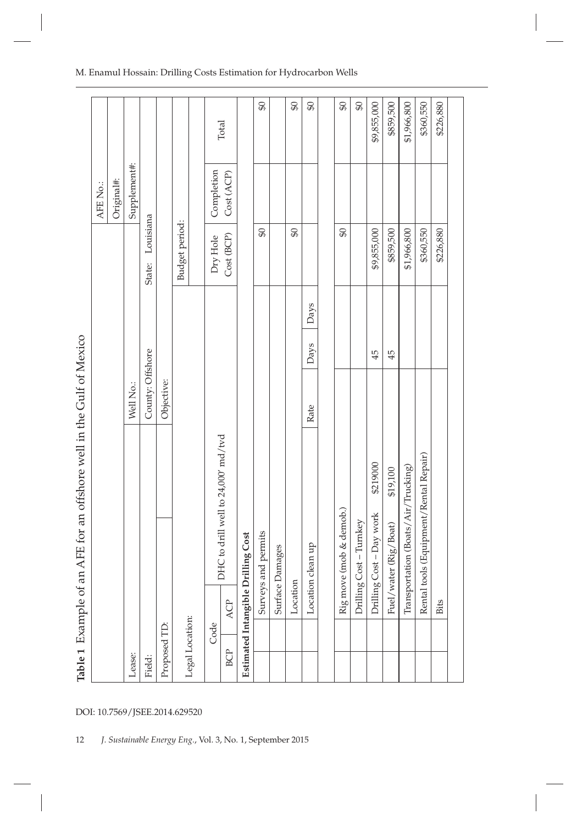|                 |             | Table 1 Example of an AFE for an offshore well in the Gulf of Mexico |                  |
|-----------------|-------------|----------------------------------------------------------------------|------------------|
|                 |             |                                                                      |                  |
| Lease:          |             |                                                                      | Well No.:        |
| Field:          |             |                                                                      | County: Offshore |
| Proposed TD:    |             |                                                                      | Objective:       |
| Legal Location: |             |                                                                      |                  |
|                 | Code        |                                                                      |                  |
| RCP             | $\Delta$ CP | DHC to drill well to 24,000' md/tvd                                  |                  |

|                 |                                    |                                        |                  |                |      |                     | AFE No.:     |             |
|-----------------|------------------------------------|----------------------------------------|------------------|----------------|------|---------------------|--------------|-------------|
|                 |                                    |                                        |                  |                |      |                     | Original#:   |             |
| Lease:          |                                    |                                        | Well No.:        |                |      |                     | Supplement#: |             |
| Field:          |                                    |                                        | County: Offshore |                |      | Louisiana<br>State: |              |             |
| Proposed TD     |                                    |                                        | Objective:       |                |      |                     |              |             |
|                 |                                    |                                        |                  |                |      | Budget period:      |              |             |
| Legal Location: |                                    |                                        |                  |                |      |                     |              |             |
|                 | Code                               |                                        |                  |                |      | Dry Hole            | Completion   | Total       |
| <b>BCP</b>      | ACP                                | DHC to drill well to 24,000' md/tvd    |                  |                |      | Cost (BCP)          | Cost (ACP)   |             |
|                 | Estimated Intangible Drilling Cost |                                        |                  |                |      |                     |              |             |
|                 | Surveys and permits                |                                        |                  |                |      | 90                  |              |             |
|                 | Surface Damages                    |                                        |                  |                |      |                     |              |             |
|                 | ocation<br>凵                       |                                        |                  |                |      | 90                  |              |             |
|                 | ocation clean up<br>⊣              |                                        | Rate             | Days           | Days |                     |              |             |
|                 |                                    |                                        |                  |                |      |                     |              |             |
|                 |                                    | Rig move (mob & demob.)                |                  |                |      | \$0                 |              |             |
|                 |                                    | Drilling Cost - Turnkey                |                  |                |      |                     |              |             |
|                 |                                    | \$219000<br>Drilling Cost - Day work   |                  | $\ddot{+}$     |      | \$9,855,000         |              | \$9,855,000 |
|                 |                                    | \$19,100<br>Fuel/water (Rig/Boat)      |                  | $\overline{4}$ |      | \$859,500           |              | \$859,500   |
|                 |                                    | Transportation (Boats/Air/Trucking)    |                  |                |      | \$1,966,800         |              | \$1,966,800 |
|                 |                                    | Rental tools (Equipment/Rental Repair) |                  |                |      | \$360,550           |              | \$360,550   |
|                 | <b>Bits</b>                        |                                        |                  |                |      | \$226,880           |              | \$226,880   |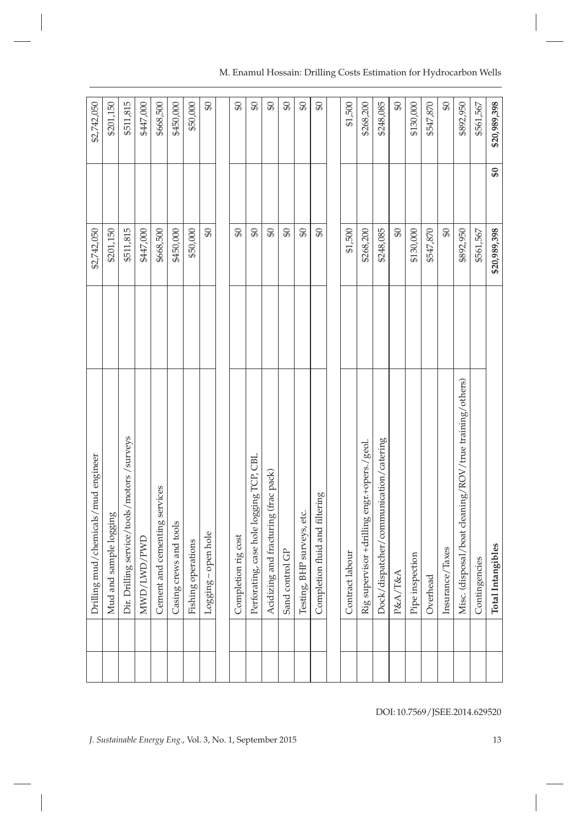|  | Drilling mud/chemicals/mud engineer                     | \$2,742,050                |                                  | \$2,742,050   |
|--|---------------------------------------------------------|----------------------------|----------------------------------|---------------|
|  | Mud and sample logging                                  | \$201,150                  |                                  | \$201,150     |
|  | Dir. Drilling service/tools/motors/surveys              | \$511,815                  |                                  | \$511,815     |
|  | MWD/LWD/PWD                                             | \$447,000                  |                                  | \$447,000     |
|  | Cement and cementing services                           | \$668,500                  |                                  | \$668,500     |
|  | Casing crews and tools                                  | \$450,000                  |                                  | \$450,000     |
|  | Fishing operations                                      | \$50,000                   |                                  | \$50,000      |
|  | Logging - open hole                                     | SQ                         |                                  | 90            |
|  |                                                         |                            |                                  |               |
|  | Completion rig cost                                     | \$0                        |                                  | 90            |
|  | Perforating, case hole logging TCP, CBL                 | SQ                         |                                  | \$0           |
|  | Acidizing and fracturing (frac pack)                    | SO,                        |                                  | \$0           |
|  | Sand control GP                                         | SO,                        |                                  | \$0           |
|  | Testing, BHP surveys, etc.                              | \$0                        |                                  | $\frac{6}{2}$ |
|  | Completion fluid and filtering                          | $\boldsymbol{\mathcal{L}}$ |                                  | $\theta$      |
|  |                                                         |                            |                                  |               |
|  | Contract labour                                         | \$1,500                    |                                  | \$1,500       |
|  | Rig supervisor +drilling engr.+opers./geol.             | \$268,200                  |                                  | \$268,200     |
|  | Dock/dispatcher/communication/catering                  | \$248,085                  |                                  | \$248,085     |
|  | P&A/T&A                                                 | 90                         |                                  | 90            |
|  | Pipe inspection                                         | \$130,000                  |                                  | \$130,000     |
|  | Overhead                                                | \$547,870                  |                                  | \$547,870     |
|  | Insurance/Taxes                                         | \$0                        |                                  | $9\theta$     |
|  | Misc. (disposal/boat cleaning/ROV/true training/others) | \$892,950                  |                                  | \$892,950     |
|  | Contingencies                                           | \$561,567                  |                                  | \$561,567     |
|  | <b>Total Intangibles</b>                                | \$20,989,398               | $\overline{\boldsymbol{\theta}}$ | \$20,989,398  |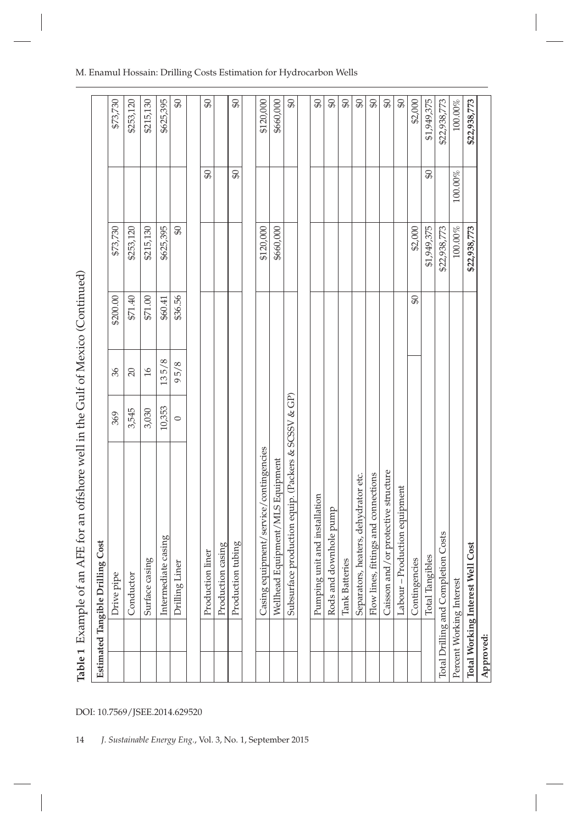| $\overline{\mathcal{L}}$                                                                                                   |
|----------------------------------------------------------------------------------------------------------------------------|
| $1 + 2 + 1$                                                                                                                |
|                                                                                                                            |
|                                                                                                                            |
|                                                                                                                            |
| `<br>1                                                                                                                     |
| $-10.4$ $-1.7$                                                                                                             |
|                                                                                                                            |
|                                                                                                                            |
|                                                                                                                            |
|                                                                                                                            |
| ・・ りそり つけし そり そうそ エー・<br>į                                                                                                 |
|                                                                                                                            |
|                                                                                                                            |
| $\sim$ $\sim$ $\sim$ $\sim$ $\sim$ $\sim$ $\sim$<br> <br> <br> <br>$\sim$ $\sim$ $\sim$ $\sim$ $\sim$ $\sim$ $\sim$ $\sim$ |
|                                                                                                                            |
|                                                                                                                            |
| )<br>C                                                                                                                     |
|                                                                                                                            |
| $\ddot{\phantom{0}}$<br>ļ                                                                                                  |
|                                                                                                                            |
| ble l<br>י<br>י                                                                                                            |
|                                                                                                                            |

 $\overline{a}$ 

|                          | e Drilling Cost<br>Estimated Tangibl                |         |                |          |              |         |                       |
|--------------------------|-----------------------------------------------------|---------|----------------|----------|--------------|---------|-----------------------|
|                          | ve pipe<br>Ďri                                      | 369     | 36             | \$200.00 | \$73,730     |         | \$73,730              |
|                          | Conductor                                           | 3,545   | $\overline{c}$ | \$71.40  | \$253,120    |         | \$253,120             |
|                          | face casing<br>Suri                                 | 3,030   | 16             | \$71.00  | \$215,130    |         | \$215,130             |
|                          | Intermediate casing                                 | 10,353  | 135/8          | \$60.41  | \$625,395    |         | \$625,395             |
|                          | Drilling Liner                                      | $\circ$ | 95/8           | \$36.56  | SO,          |         | SO,                   |
|                          | Production liner                                    |         |                |          |              | B       | 90                    |
|                          | Production casing                                   |         |                |          |              |         |                       |
|                          | Production tubing                                   |         |                |          |              | S)      | SO,                   |
|                          | Casing equipment/service/contingencies              |         |                |          | \$120,000    |         | \$120,000             |
|                          | Wellhead Equipment/MLS Equipment                    |         |                |          | \$660,000    |         | \$660,000             |
|                          | Subsurface production equip. (Packers & SCSSV & GP) |         |                |          |              |         | \$0                   |
|                          |                                                     |         |                |          |              |         |                       |
|                          | Pumping unit and installation                       |         |                |          |              |         | \$0                   |
|                          | Rods and downhole pump                              |         |                |          |              |         | $\mathfrak{g}_0$      |
|                          | Tank Batteries                                      |         |                |          |              |         | 90                    |
|                          | Separators, heaters, dehydrator etc.                |         |                |          |              |         | \$0                   |
|                          | Flow lines, fittings and connections                |         |                |          |              |         | $\boldsymbol{\theta}$ |
|                          | Caisson and/or protective structure                 |         |                |          |              |         | $\frac{6}{2}$         |
|                          | Labour - Production equipment                       |         |                |          |              |         | $\boldsymbol{\theta}$ |
|                          | Contingencies                                       |         |                | SO,      | \$2,000      |         | \$2,000               |
|                          | <b>Total Tangibles</b>                              |         |                |          | \$1,949,375  | \$0     | \$1,949,375           |
|                          | Total Drilling and Completion Costs                 |         |                |          | \$22,938,773 |         | \$22,938,773          |
| Percent Working Interest |                                                     |         |                |          | 100.00%      | 100.00% | 100.00%               |
|                          | Total Working Interest Well Cost                    |         |                |          | \$22,938,773 |         | \$22,938,773          |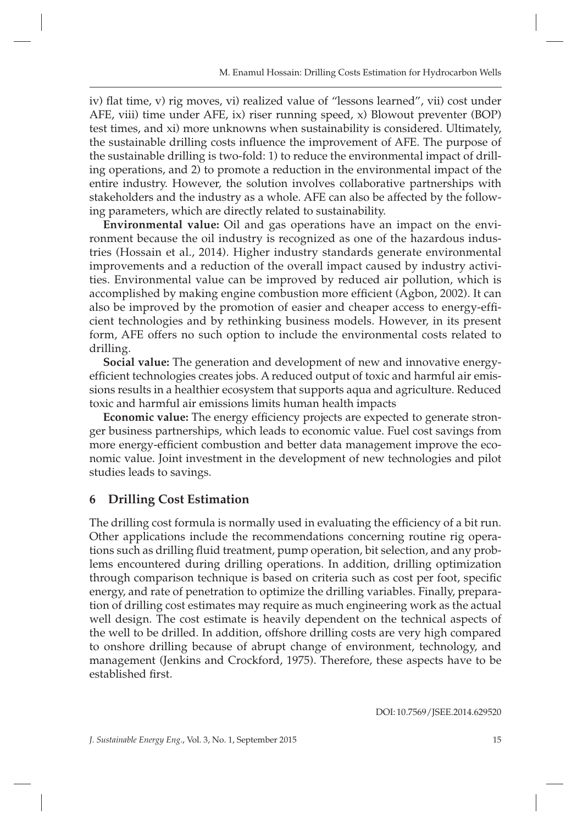iv) flat time, v) rig moves, vi) realized value of "lessons learned", vii) cost under AFE, viii) time under AFE, ix) riser running speed, x) Blowout preventer (BOP) test times, and xi) more unknowns when sustainability is considered. Ultimately, the sustainable drilling costs influence the improvement of AFE. The purpose of the sustainable drilling is two-fold: 1) to reduce the environmental impact of drilling operations, and 2) to promote a reduction in the environmental impact of the entire industry. However, the solution involves collaborative partnerships with stakeholders and the industry as a whole. AFE can also be affected by the following parameters, which are directly related to sustainability.

**Environmental value:** Oil and gas operations have an impact on the environment because the oil industry is recognized as one of the hazardous industries (Hossain et al., 2014). Higher industry standards generate environmental improvements and a reduction of the overall impact caused by industry activities. Environmental value can be improved by reduced air pollution, which is accomplished by making engine combustion more efficient (Agbon, 2002). It can also be improved by the promotion of easier and cheaper access to energy-efficient technologies and by rethinking business models. However, in its present form, AFE offers no such option to include the environmental costs related to drilling.

**Social value:** The generation and development of new and innovative energyefficient technologies creates jobs. A reduced output of toxic and harmful air emissions results in a healthier ecosystem that supports aqua and agriculture. Reduced toxic and harmful air emissions limits human health impacts

Economic value: The energy efficiency projects are expected to generate stronger business partnerships, which leads to economic value. Fuel cost savings from more energy-efficient combustion and better data management improve the economic value. Joint investment in the development of new technologies and pilot studies leads to savings.

## **6 Drilling Cost Estimation**

The drilling cost formula is normally used in evaluating the efficiency of a bit run. Other applications include the recommendations concerning routine rig operations such as drilling fluid treatment, pump operation, bit selection, and any problems encountered during drilling operations. In addition, drilling optimization through comparison technique is based on criteria such as cost per foot, specific energy, and rate of penetration to optimize the drilling variables. Finally, preparation of drilling cost estimates may require as much engineering work as the actual well design. The cost estimate is heavily dependent on the technical aspects of the well to be drilled. In addition, offshore drilling costs are very high compared to onshore drilling because of abrupt change of environment, technology, and management (Jenkins and Crockford, 1975). Therefore, these aspects have to be established first.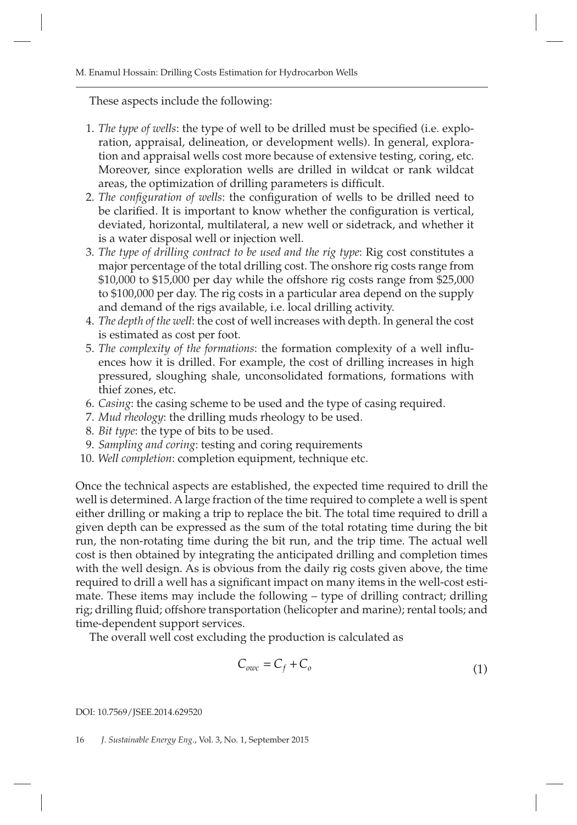These aspects include the following:

- 1. *The type of wells*: the type of well to be drilled must be specified (i.e. exploration, appraisal, delineation, or development wells). In general, exploration and appraisal wells cost more because of extensive testing, coring, etc. Moreover, since exploration wells are drilled in wildcat or rank wildcat areas, the optimization of drilling parameters is difficult.
- 2. *The configuration of wells*: the configuration of wells to be drilled need to be clarified. It is important to know whether the configuration is vertical, deviated, horizontal, multilateral, a new well or sidetrack, and whether it is a water disposal well or injection well.
- 3. *The type of drilling contract to be used and the rig type*: Rig cost constitutes a major percentage of the total drilling cost. The onshore rig costs range from \$10,000 to \$15,000 per day while the offshore rig costs range from \$25,000 to \$100,000 per day. The rig costs in a particular area depend on the supply and demand of the rigs available, i.e. local drilling activity.
- 4. *The depth of the well*: the cost of well increases with depth. In general the cost is estimated as cost per foot.
- 5. The complexity of the formations: the formation complexity of a well influences how it is drilled. For example, the cost of drilling increases in high pressured, sloughing shale, unconsolidated formations, formations with thief zones, etc.
- 6. *Casing*: the casing scheme to be used and the type of casing required.
- 7. *Mud rheology*: the drilling muds rheology to be used.
- 8. *Bit type*: the type of bits to be used.
- 9. *Sampling and coring*: testing and coring requirements
- 10. *Well completion*: completion equipment, technique etc.

Once the technical aspects are established, the expected time required to drill the well is determined. A large fraction of the time required to complete a well is spent either drilling or making a trip to replace the bit. The total time required to drill a given depth can be expressed as the sum of the total rotating time during the bit run, the non-rotating time during the bit run, and the trip time. The actual well cost is then obtained by integrating the anticipated drilling and completion times with the well design. As is obvious from the daily rig costs given above, the time required to drill a well has a significant impact on many items in the well-cost estimate. These items may include the following – type of drilling contract; drilling rig; drilling fluid; offshore transportation (helicopter and marine); rental tools; and time-dependent support services.

The overall well cost excluding the production is calculated as

$$
C_{ovc} = C_f + C_o \tag{1}
$$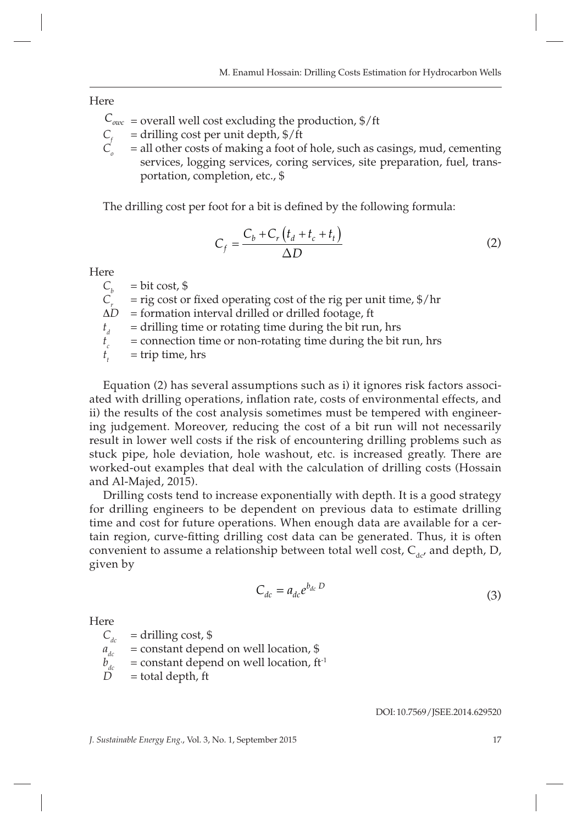#### Here

- $C_{\text{owc}}$  = overall well cost excluding the production,  $\frac{C}{\pi}$
- $C$ <sub>f</sub> = drilling cost per unit depth, \$/ft
- = all other costs of making a foot of hole, such as casings, mud, cementing services, logging services, coring services, site preparation, fuel, transportation, completion, etc., \$

The drilling cost per foot for a bit is defined by the following formula:

$$
C_f = \frac{C_b + C_r \left(t_d + t_c + t_t\right)}{\Delta D} \tag{2}
$$

Here

 $C_b$ <br> $C_c$  $=$  bit cost, \$  $C_r$  = rig cost or fixed operating cost of the rig per unit time,  $\frac{f}{h}$  = formation interval drilled or drilled footage. ft = formation interval drilled or drilled footage, ft  $t<sub>d</sub>$  = drilling time or rotating time during the bit run, hrs = connection time or non-rotating time during the bit  $=$  connection time or non-rotating time during the bit run, hrs *t <sup>t</sup>* = trip time, hrs

Equation (2) has several assumptions such as i) it ignores risk factors associated with drilling operations, inflation rate, costs of environmental effects, and ii) the results of the cost analysis sometimes must be tempered with engineering judgement. Moreover, reducing the cost of a bit run will not necessarily result in lower well costs if the risk of encountering drilling problems such as stuck pipe, hole deviation, hole washout, etc. is increased greatly. There are worked-out examples that deal with the calculation of drilling costs (Hossain and Al-Majed, 2015).

Drilling costs tend to increase exponentially with depth. It is a good strategy for drilling engineers to be dependent on previous data to estimate drilling time and cost for future operations. When enough data are available for a certain region, curve-fitting drilling cost data can be generated. Thus, it is often convenient to assume a relationship between total well cost,  $C_{d,c}$  and depth, D, given by

$$
C_{dc} = a_{dc} e^{b_{dc} D} \tag{3}
$$

Here

 $C_{dc}$  = drilling cost, \$  $a_{dc}$  = constant depend on well location, \$<br> $b_{dc}$  = constant depend on well location, ff  $b_{dc}$  = constant depend on well location, ft<sup>-1</sup><br> $D$  = total depth, ft *D* = total depth, ft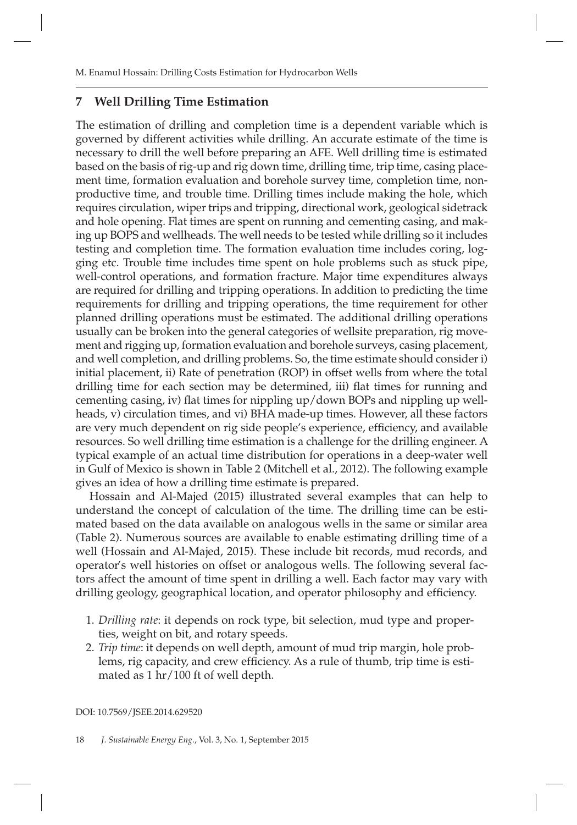### **7 Well Drilling Time Estimation**

The estimation of drilling and completion time is a dependent variable which is governed by different activities while drilling. An accurate estimate of the time is necessary to drill the well before preparing an AFE. Well drilling time is estimated based on the basis of rig-up and rig down time, drilling time, trip time, casing placement time, formation evaluation and borehole survey time, completion time, nonproductive time, and trouble time. Drilling times include making the hole, which requires circulation, wiper trips and tripping, directional work, geological sidetrack and hole opening. Flat times are spent on running and cementing casing, and making up BOPS and wellheads. The well needs to be tested while drilling so it includes testing and completion time. The formation evaluation time includes coring, logging etc. Trouble time includes time spent on hole problems such as stuck pipe, well-control operations, and formation fracture. Major time expenditures always are required for drilling and tripping operations. In addition to predicting the time requirements for drilling and tripping operations, the time requirement for other planned drilling operations must be estimated. The additional drilling operations usually can be broken into the general categories of wellsite preparation, rig movement and rigging up, formation evaluation and borehole surveys, casing placement, and well completion, and drilling problems. So, the time estimate should consider i) initial placement, ii) Rate of penetration (ROP) in offset wells from where the total drilling time for each section may be determined, iii) flat times for running and cementing casing, iv) flat times for nippling up/down BOPs and nippling up wellheads, v) circulation times, and vi) BHA made-up times. However, all these factors are very much dependent on rig side people's experience, efficiency, and available resources. So well drilling time estimation is a challenge for the drilling engineer. A typical example of an actual time distribution for operations in a deep-water well in Gulf of Mexico is shown in Table 2 (Mitchell et al., 2012). The following example gives an idea of how a drilling time estimate is prepared.

Hossain and Al-Majed (2015) illustrated several examples that can help to understand the concept of calculation of the time. The drilling time can be estimated based on the data available on analogous wells in the same or similar area (Table 2). Numerous sources are available to enable estimating drilling time of a well (Hossain and Al-Majed, 2015). These include bit records, mud records, and operator's well histories on offset or analogous wells. The following several factors affect the amount of time spent in drilling a well. Each factor may vary with drilling geology, geographical location, and operator philosophy and efficiency.

- 1. *Drilling rate*: it depends on rock type, bit selection, mud type and properties, weight on bit, and rotary speeds.
- 2. *Trip time*: it depends on well depth, amount of mud trip margin, hole problems, rig capacity, and crew efficiency. As a rule of thumb, trip time is estimated as 1 hr/100 ft of well depth.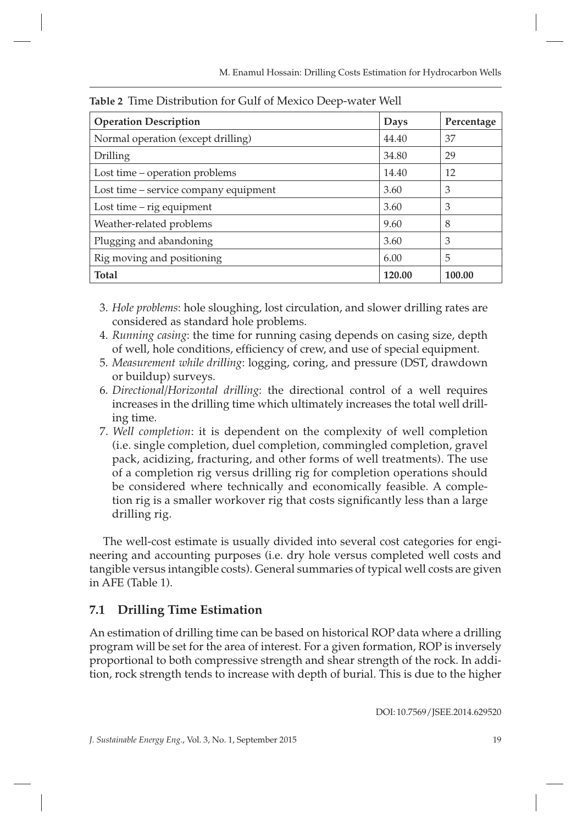| <b>Operation Description</b>          | <b>Days</b> | Percentage |
|---------------------------------------|-------------|------------|
| Normal operation (except drilling)    | 44.40       | 37         |
| Drilling                              | 34.80       | 29         |
| Lost time – operation problems        | 14.40       | 12         |
| Lost time - service company equipment | 3.60        | 3          |
| Lost time - rig equipment             | 3.60        | 3          |
| Weather-related problems              | 9.60        | 8          |
| Plugging and abandoning               | 3.60        | 3          |
| Rig moving and positioning            | 6.00        | 5          |
| <b>Total</b>                          | 120.00      | 100.00     |

**Table 2** Time Distribution for Gulf of Mexico Deep-water Well

- 3. *Hole problems*: hole sloughing, lost circulation, and slower drilling rates are considered as standard hole problems.
- 4. *Running casing*: the time for running casing depends on casing size, depth of well, hole conditions, efficiency of crew, and use of special equipment.
- 5. *Measurement while drilling*: logging, coring, and pressure (DST, drawdown or buildup) surveys.
- 6. *Directional/Horizontal drilling*: the directional control of a well requires increases in the drilling time which ultimately increases the total well drilling time.
- 7. *Well completion*: it is dependent on the complexity of well completion (i.e. single completion, duel completion, commingled completion, gravel pack, acidizing, fracturing, and other forms of well treatments). The use of a completion rig versus drilling rig for completion operations should be considered where technically and economically feasible. A completion rig is a smaller workover rig that costs significantly less than a large drilling rig.

The well-cost estimate is usually divided into several cost categories for engineering and accounting purposes (i.e. dry hole versus completed well costs and tangible versus intangible costs). General summaries of typical well costs are given in AFE (Table 1).

## **7.1 Drilling Time Estimation**

An estimation of drilling time can be based on historical ROP data where a drilling program will be set for the area of interest. For a given formation, ROP is inversely proportional to both compressive strength and shear strength of the rock. In addition, rock strength tends to increase with depth of burial. This is due to the higher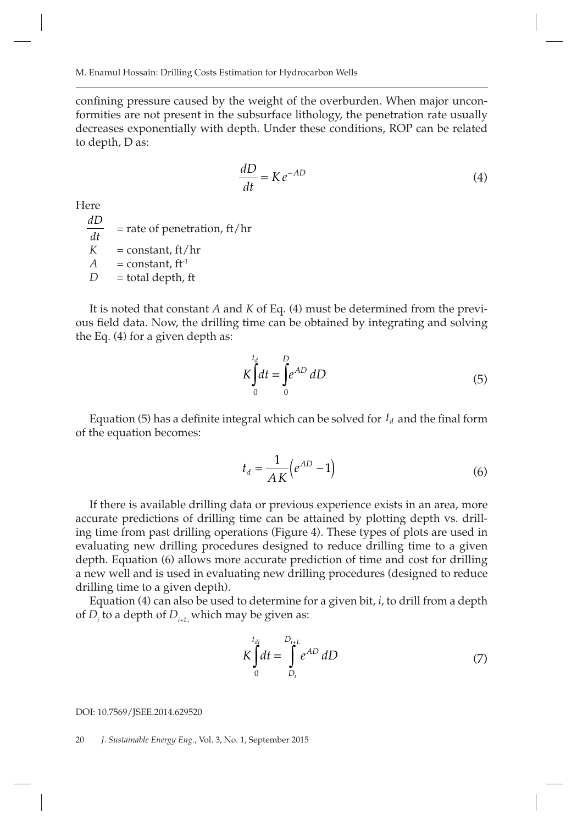confining pressure caused by the weight of the overburden. When major unconformities are not present in the subsurface lithology, the penetration rate usually decreases exponentially with depth. Under these conditions, ROP can be related to depth, D as:

$$
\frac{dD}{dt} = Ke^{-AD} \tag{4}
$$

**Here** 

*dD*  $\frac{dE}{dt}$  = rate of penetration, ft/hr  $K = constant, ft/hr$  $A =$  constant,  $ft^{-1}$  $D =$  total depth, ft

It is noted that constant *A* and *K* of Eq. (4) must be determined from the previous field data. Now, the drilling time can be obtained by integrating and solving the Eq. (4) for a given depth as:

$$
K \int_{0}^{t_d} dt = \int_{0}^{D} e^{AD} dD
$$
 (5)

Equation (5) has a definite integral which can be solved for  $t_d$  and the final form of the equation becomes:

$$
t_d = \frac{1}{AK} \left( e^{AD} - 1 \right) \tag{6}
$$

If there is available drilling data or previous experience exists in an area, more accurate predictions of drilling time can be attained by plotting depth vs. drilling time from past drilling operations (Figure 4). These types of plots are used in evaluating new drilling procedures designed to reduce drilling time to a given depth. Equation (6) allows more accurate prediction of time and cost for drilling a new well and is used in evaluating new drilling procedures (designed to reduce drilling time to a given depth).

Equation (4) can also be used to determine for a given bit, *i*, to drill from a depth of *Di* to a depth of *Di+L,* which may be given as:

$$
K \int_{0}^{t_{di}} dt = \int_{D_i}^{D_{i+L}} e^{AD} dD
$$
 (7)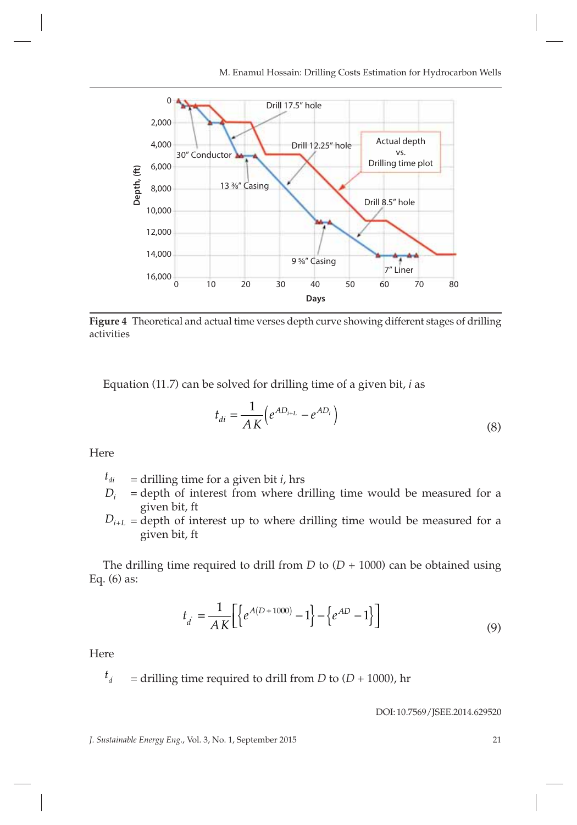

**Figure 4** Theoretical and actual time verses depth curve showing different stages of drilling activities

Equation (11.7) can be solved for drilling time of a given bit, *i* as

$$
t_{di} = \frac{1}{AK} \left( e^{AD_{i+L}} - e^{AD_i} \right)
$$
 (8)

Here

- $t_{di}$  = drilling time for a given bit *i*, hrs
- $D_i$  = depth of interest from where drilling time would be measured for a given bit, ft
- $D_{i+L}$  = depth of interest up to where drilling time would be measured for a given bit, ft

The drilling time required to drill from  $D$  to  $(D + 1000)$  can be obtained using Eq. (6) as:

$$
t_{d} = \frac{1}{AK} \left[ \left\{ e^{A(D+1000)} - 1 \right\} - \left\{ e^{AD} - 1 \right\} \right] \tag{9}
$$

Here

' *d*  $t =$  drilling time required to drill from *D* to (*D* + 1000), hr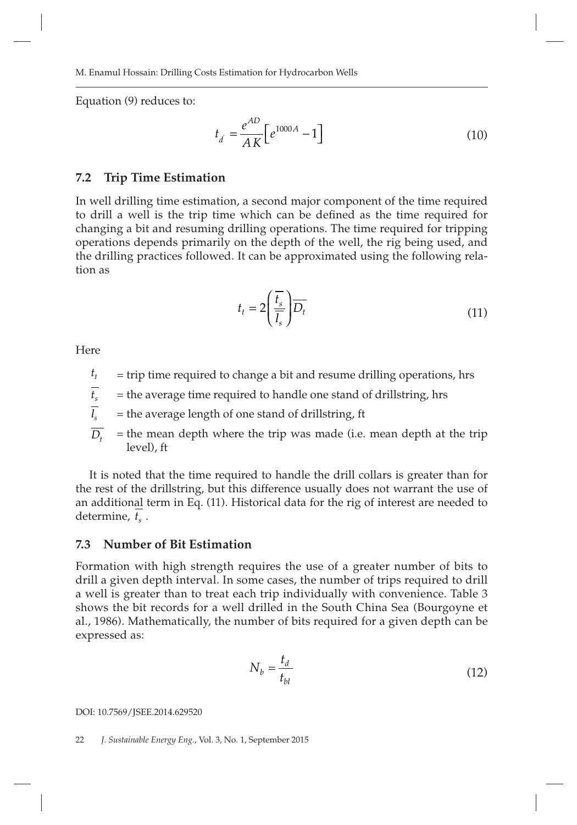Equation (9) reduces to:

$$
t_{\vec{d}} = \frac{e^{AD}}{AK} \left[ e^{1000A} - 1 \right]
$$
 (10)

#### **7.2 Trip Time Estimation**

In well drilling time estimation, a second major component of the time required to drill a well is the trip time which can be defined as the time required for changing a bit and resuming drilling operations. The time required for tripping operations depends primarily on the depth of the well, the rig being used, and the drilling practices followed. It can be approximated using the following relation as

$$
t_t = 2\left(\frac{\overline{t_s}}{\overline{t_s}}\right)\overline{D_t} \tag{11}
$$

Here

- $t_t$  = trip time required to change a bit and resume drilling operations, hrs
- $\frac{\overline{t_s}}{\overline{l_s}}$  = the average time required to handle one stand of drillstring, hrs<br> $\frac{\overline{t_s}}{\overline{l_s}}$  = the average length of one stand of drillstring, ft
- *sl* = the average length of one stand of drillstring, ft
- $\overline{D_t}$  = the mean depth where the trip was made (i.e. mean depth at the trip level), ft

It is noted that the time required to handle the drill collars is greater than for the rest of the drillstring, but this difference usually does not warrant the use of an additional term in Eq. (11). Historical data for the rig of interest are needed to determine,  $t_s$ .

#### **7.3 Number of Bit Estimation**

Formation with high strength requires the use of a greater number of bits to drill a given depth interval. In some cases, the number of trips required to drill a well is greater than to treat each trip individually with convenience. Table 3 shows the bit records for a well drilled in the South China Sea (Bourgoyne et al., 1986). Mathematically, the number of bits required for a given depth can be expressed as:

$$
N_b = \frac{t_d}{t_{bl}}\tag{12}
$$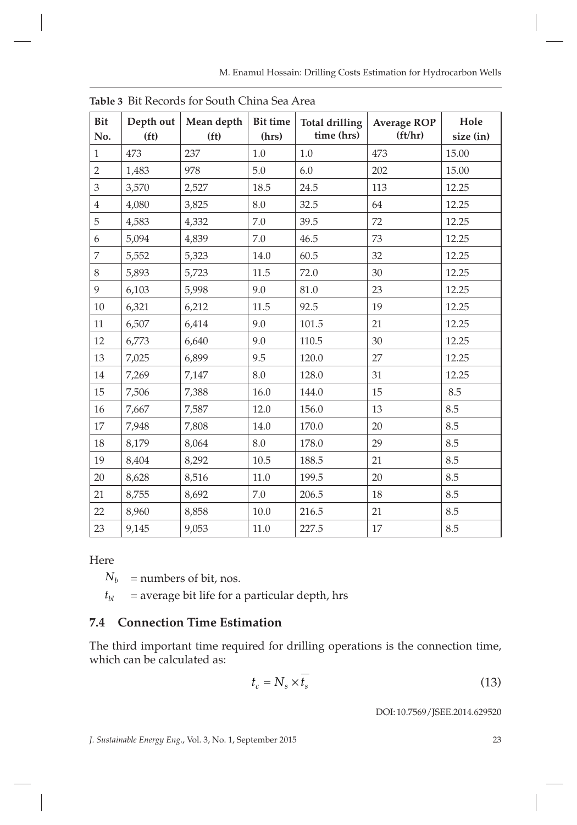| Bit<br>No.     | Depth out<br>(f <sub>t</sub> ) | Mean depth<br>(f <sub>t</sub> ) | <b>Bit time</b><br>(hrs) | <b>Total drilling</b><br>time (hrs) | <b>Average ROP</b><br>(ft/hr) | Hole<br>size (in) |
|----------------|--------------------------------|---------------------------------|--------------------------|-------------------------------------|-------------------------------|-------------------|
| $\mathbf{1}$   | 473                            | 237                             | $1.0\,$                  | 1.0                                 | 473                           | 15.00             |
| $\overline{2}$ | 1,483                          | 978                             | 5.0                      | 6.0                                 | 202                           | 15.00             |
| $\overline{3}$ | 3,570                          | 2,527                           | 18.5                     | 24.5                                | 113                           | 12.25             |
| $\overline{4}$ | 4,080                          | 3,825                           | 8.0                      | 32.5                                | 64                            | 12.25             |
| 5              | 4,583                          | 4,332                           | $7.0\,$                  | 39.5                                | 72                            | 12.25             |
| 6              | 5,094                          | 4,839                           | $7.0\,$                  | 46.5                                | 73                            | 12.25             |
| $\overline{7}$ | 5,552                          | 5,323                           | 14.0                     | 60.5                                | 32                            | 12.25             |
| 8              | 5,893                          | 5,723                           | 11.5                     | 72.0                                | 30                            | 12.25             |
| 9              | 6,103                          | 5,998                           | 9.0                      | 81.0                                | 23                            | 12.25             |
| 10             | 6,321                          | 6,212                           | 11.5                     | 92.5                                | 19                            | 12.25             |
| 11             | 6,507                          | 6,414                           | 9.0                      | 101.5                               | 21                            | 12.25             |
| 12             | 6,773                          | 6,640                           | 9.0                      | 110.5                               | 30                            | 12.25             |
| 13             | 7,025                          | 6,899                           | 9.5                      | 120.0                               | 27                            | 12.25             |
| 14             | 7,269                          | 7,147                           | 8.0                      | 128.0                               | 31                            | 12.25             |
| 15             | 7,506                          | 7,388                           | 16.0                     | 144.0                               | 15                            | 8.5               |
| 16             | 7,667                          | 7,587                           | 12.0                     | 156.0                               | 13                            | 8.5               |
| $17\,$         | 7,948                          | 7,808                           | 14.0                     | 170.0                               | $20\,$                        | 8.5               |
| $18\,$         | 8,179                          | 8,064                           | $8.0\,$                  | 178.0                               | 29                            | 8.5               |
| 19             | 8,404                          | 8,292                           | $10.5\,$                 | 188.5                               | 21                            | 8.5               |
| 20             | 8,628                          | 8,516                           | 11.0                     | 199.5                               | 20                            | 8.5               |
| 21             | 8,755                          | 8,692                           | 7.0                      | 206.5                               | 18                            | 8.5               |
| 22             | 8,960                          | 8,858                           | 10.0                     | 216.5                               | 21                            | 8.5               |
| 23             | 9,145                          | 9,053                           | 11.0                     | 227.5                               | 17                            | 8.5               |

**Table 3** Bit Records for South China Sea Area

Here

 $N_b$  = numbers of bit, nos.

 $t_{bl}$  = average bit life for a particular depth, hrs

## **7.4 Connection Time Estimation**

The third important time required for drilling operations is the connection time, which can be calculated as:

$$
t_c = N_s \times \overline{t_s} \tag{13}
$$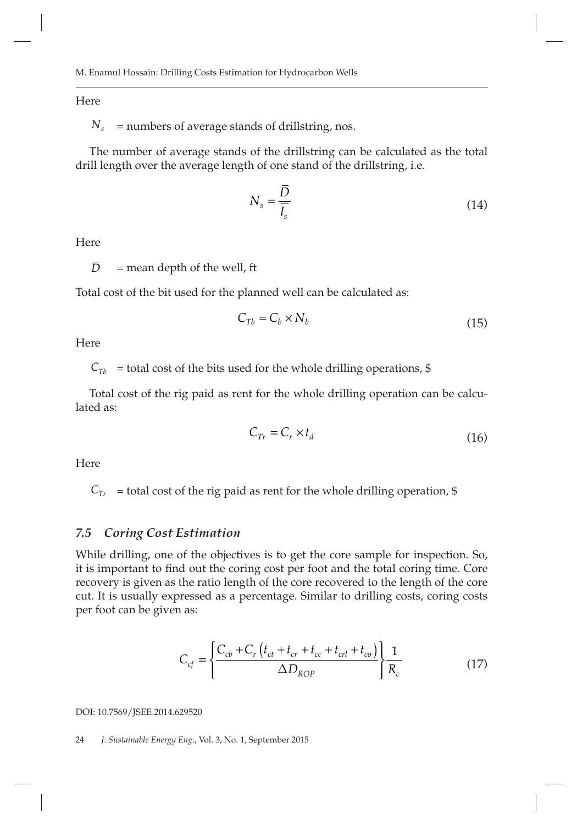Here

 $N_s$  = numbers of average stands of drillstring, nos.

The number of average stands of the drillstring can be calculated as the total drill length over the average length of one stand of the drillstring, i.e.

$$
N_s = \frac{\overline{D}}{\overline{l_s}}
$$
 (14)

Here

 $\overline{D}$  = mean depth of the well, ft

Total cost of the bit used for the planned well can be calculated as:

$$
C_{Tb} = C_b \times N_b \tag{15}
$$

Here

 $C_{Tb}$  = total cost of the bits used for the whole drilling operations, \$

Total cost of the rig paid as rent for the whole drilling operation can be calculated as:

$$
C_{Tr} = C_r \times t_d \tag{16}
$$

Here

 $C_{Tr}$  = total cost of the rig paid as rent for the whole drilling operation, \$

#### *7.5 Coring Cost Estimation*

While drilling, one of the objectives is to get the core sample for inspection. So, it is important to find out the coring cost per foot and the total coring time. Core recovery is given as the ratio length of the core recovered to the length of the core cut. It is usually expressed as a percentage. Similar to drilling costs, coring costs per foot can be given as:

$$
C_{cf} = \left\{ \frac{C_{cb} + C_r \left(t_{ct} + t_{cr} + t_{cc} + t_{crl} + t_{co}\right)}{\Delta D_{ROP}} \right\} \frac{1}{R_c}
$$
(17)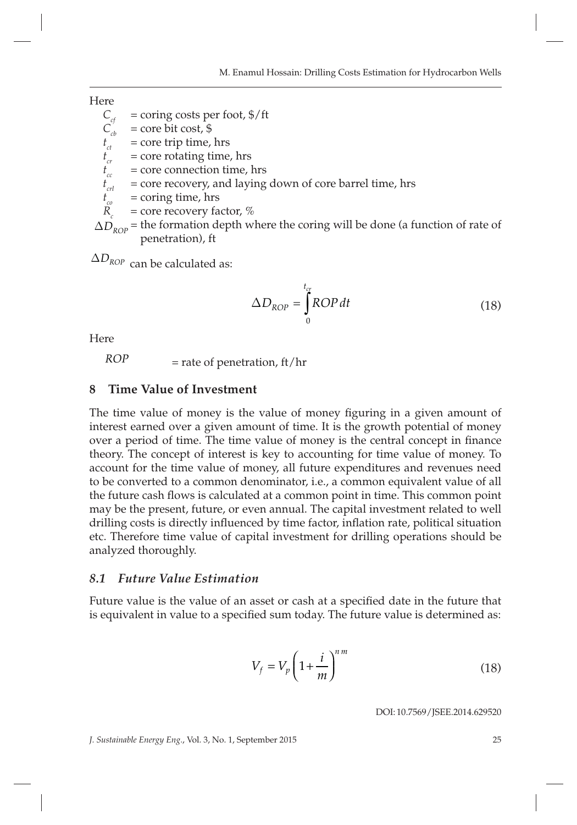Here  $C_{cf}$   $C_{cb}$ *Ccf* = coring costs per foot, \$/ft  $=$  core bit cost, \$  $t_{ct}$ = core trip time, hrs  $t_{cr}$ = core rotating time, hrs *t*  $t_{cc}$  = core connection time, hrs<br> $t_{crl}$  = core recovery, and laying  $=$  core recovery, and laying down of core barrel time, hrs  $t_{co}$  $t_{co}$  = coring time, hrs<br> $R_{o}$  = core recovery fa = core recovery factor, %

 $\Delta D_{ROP}$  = the formation depth where the coring will be done (a function of rate of penetration), ft

 $\Delta D_{ROP}$  can be calculated as:

$$
\Delta D_{ROP} = \int_{0}^{t_{cr}} ROP \, dt \tag{18}
$$

Here

*ROP* = rate of penetration, ft/hr

#### **8 Time Value of Investment**

The time value of money is the value of money figuring in a given amount of interest earned over a given amount of time. It is the growth potential of money over a period of time. The time value of money is the central concept in finance theory. The concept of interest is key to accounting for time value of money. To account for the time value of money, all future expenditures and revenues need to be converted to a common denominator, i.e., a common equivalent value of all the future cash flows is calculated at a common point in time. This common point may be the present, future, or even annual. The capital investment related to well drilling costs is directly influenced by time factor, inflation rate, political situation etc. Therefore time value of capital investment for drilling operations should be analyzed thoroughly.

#### *8.1 Future Value Estimation*

Future value is the value of an asset or cash at a specified date in the future that is equivalent in value to a specified sum today. The future value is determined as:

$$
V_f = V_p \left( 1 + \frac{i}{m} \right)^{nm} \tag{18}
$$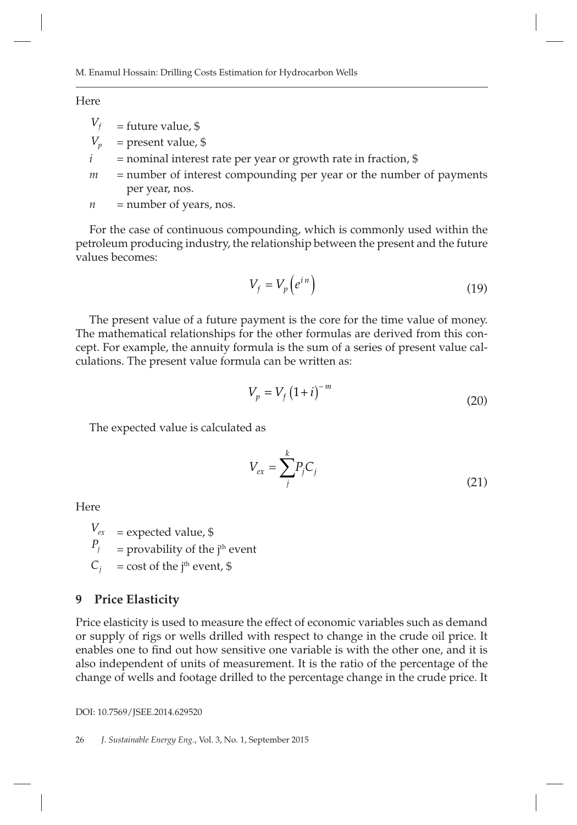#### Here

- $V_f$  = future value, \$
- $V_p$  = present value, \$
- $i =$  nominal interest rate per year or growth rate in fraction, \$
- *m* = number of interest compounding per year or the number of payments per year, nos.
- $n$  = number of years, nos.

For the case of continuous compounding, which is commonly used within the petroleum producing industry, the relationship between the present and the future values becomes:

$$
V_f = V_p \left( e^{i\,n} \right) \tag{19}
$$

The present value of a future payment is the core for the time value of money. The mathematical relationships for the other formulas are derived from this concept. For example, the annuity formula is the sum of a series of present value calculations. The present value formula can be written as:

$$
V_p = V_f (1 + i)^{-m}
$$
 (20)

The expected value is calculated as

$$
V_{ex} = \sum_{j}^{k} P_j C_j \tag{21}
$$

Here

 $V_{ex}$  = expected value, \$

- $P_j$  = provability of the j<sup>th</sup> event
- $C_i$  = cost of the j<sup>th</sup> event, \$

#### **9 Price Elasticity**

Price elasticity is used to measure the effect of economic variables such as demand or supply of rigs or wells drilled with respect to change in the crude oil price. It enables one to find out how sensitive one variable is with the other one, and it is also independent of units of measurement. It is the ratio of the percentage of the change of wells and footage drilled to the percentage change in the crude price. It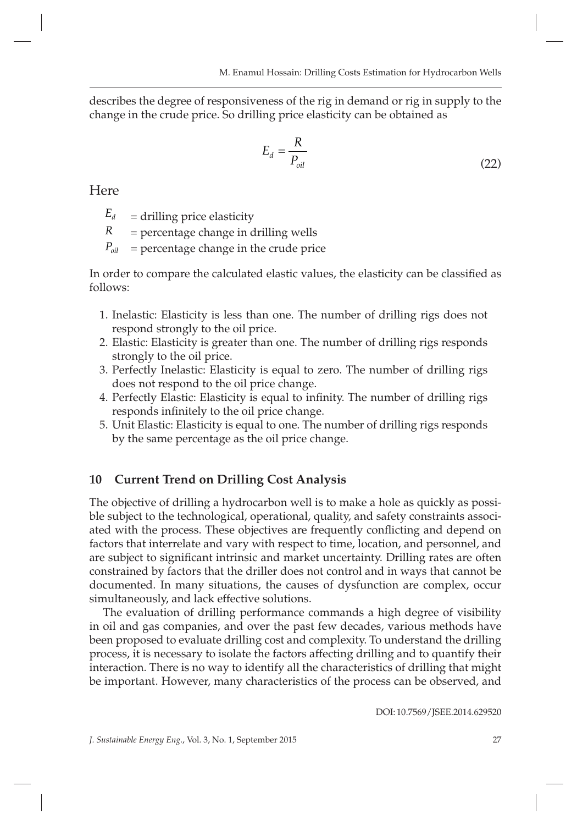describes the degree of responsiveness of the rig in demand or rig in supply to the change in the crude price. So drilling price elasticity can be obtained as

$$
E_d = \frac{R}{P_{oil}}\tag{22}
$$

Here

 $E_d$  = drilling price elasticity

 $R$  = percentage change in drilling wells

 $P_{oil}$  = percentage change in the crude price

In order to compare the calculated elastic values, the elasticity can be classified as follows:

- 1. Inelastic: Elasticity is less than one. The number of drilling rigs does not respond strongly to the oil price.
- 2. Elastic: Elasticity is greater than one. The number of drilling rigs responds strongly to the oil price.
- 3. Perfectly Inelastic: Elasticity is equal to zero. The number of drilling rigs does not respond to the oil price change.
- 4. Perfectly Elastic: Elasticity is equal to infinity. The number of drilling rigs responds infinitely to the oil price change.
- 5. Unit Elastic: Elasticity is equal to one. The number of drilling rigs responds by the same percentage as the oil price change.

## **10 Current Trend on Drilling Cost Analysis**

The objective of drilling a hydrocarbon well is to make a hole as quickly as possible subject to the technological, operational, quality, and safety constraints associated with the process. These objectives are frequently conflicting and depend on factors that interrelate and vary with respect to time, location, and personnel, and are subject to significant intrinsic and market uncertainty. Drilling rates are often constrained by factors that the driller does not control and in ways that cannot be documented. In many situations, the causes of dysfunction are complex, occur simultaneously, and lack effective solutions.

The evaluation of drilling performance commands a high degree of visibility in oil and gas companies, and over the past few decades, various methods have been proposed to evaluate drilling cost and complexity. To understand the drilling process, it is necessary to isolate the factors affecting drilling and to quantify their interaction. There is no way to identify all the characteristics of drilling that might be important. However, many characteristics of the process can be observed, and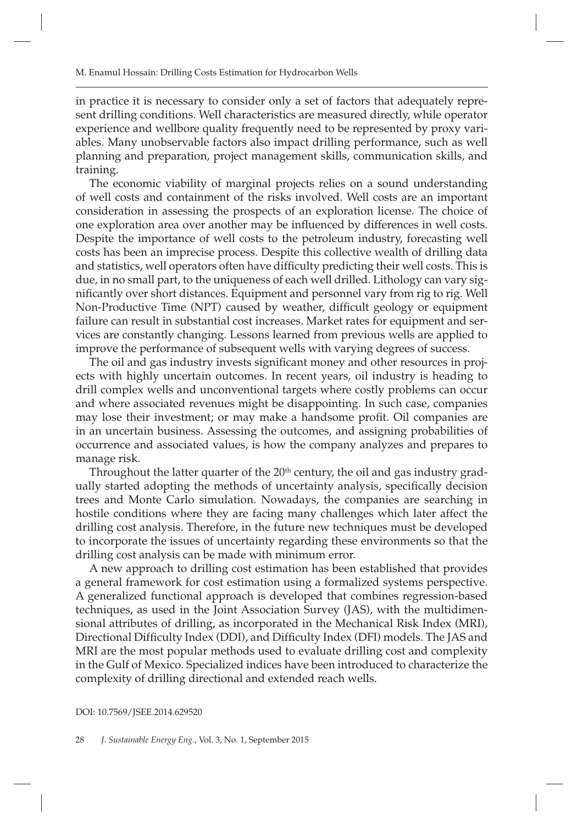in practice it is necessary to consider only a set of factors that adequately represent drilling conditions. Well characteristics are measured directly, while operator experience and wellbore quality frequently need to be represented by proxy variables. Many unobservable factors also impact drilling performance, such as well planning and preparation, project management skills, communication skills, and training.

The economic viability of marginal projects relies on a sound understanding of well costs and containment of the risks involved. Well costs are an important consideration in assessing the prospects of an exploration license. The choice of one exploration area over another may be influenced by differences in well costs. Despite the importance of well costs to the petroleum industry, forecasting well costs has been an imprecise process. Despite this collective wealth of drilling data and statistics, well operators often have difficulty predicting their well costs. This is due, in no small part, to the uniqueness of each well drilled. Lithology can vary significantly over short distances. Equipment and personnel vary from rig to rig. Well Non-Productive Time (NPT) caused by weather, difficult geology or equipment failure can result in substantial cost increases. Market rates for equipment and services are constantly changing. Lessons learned from previous wells are applied to improve the performance of subsequent wells with varying degrees of success.

The oil and gas industry invests significant money and other resources in projects with highly uncertain outcomes. In recent years, oil industry is heading to drill complex wells and unconventional targets where costly problems can occur and where associated revenues might be disappointing. In such case, companies may lose their investment; or may make a handsome profit. Oil companies are in an uncertain business. Assessing the outcomes, and assigning probabilities of occurrence and associated values, is how the company analyzes and prepares to manage risk.

Throughout the latter quarter of the  $20<sup>th</sup>$  century, the oil and gas industry gradually started adopting the methods of uncertainty analysis, specifically decision trees and Monte Carlo simulation. Nowadays, the companies are searching in hostile conditions where they are facing many challenges which later affect the drilling cost analysis. Therefore, in the future new techniques must be developed to incorporate the issues of uncertainty regarding these environments so that the drilling cost analysis can be made with minimum error.

A new approach to drilling cost estimation has been established that provides a general framework for cost estimation using a formalized systems perspective. A generalized functional approach is developed that combines regression-based techniques, as used in the Joint Association Survey (JAS), with the multidimensional attributes of drilling, as incorporated in the Mechanical Risk Index (MRI), Directional Difficulty Index (DDI), and Difficulty Index (DFI) models. The JAS and MRI are the most popular methods used to evaluate drilling cost and complexity in the Gulf of Mexico. Specialized indices have been introduced to characterize the complexity of drilling directional and extended reach wells.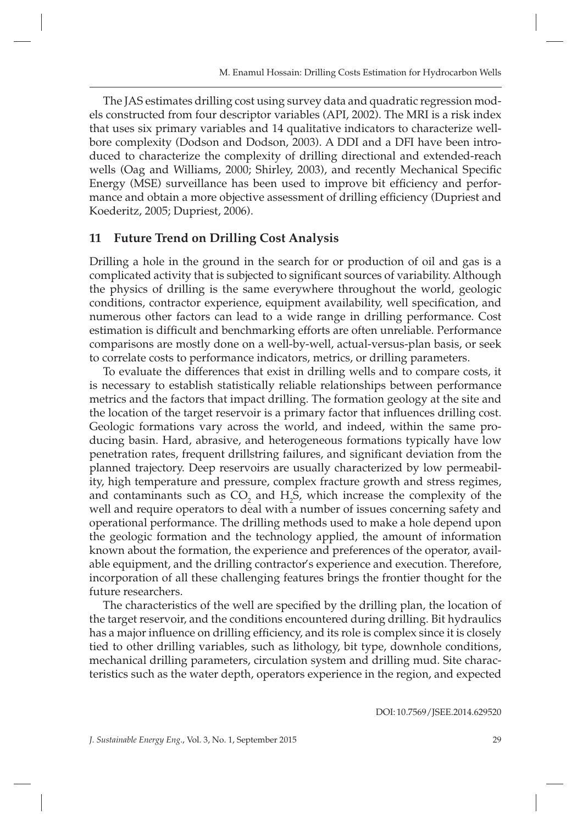The JAS estimates drilling cost using survey data and quadratic regression models constructed from four descriptor variables (API, 2002). The MRI is a risk index that uses six primary variables and 14 qualitative indicators to characterize wellbore complexity (Dodson and Dodson, 2003). A DDI and a DFI have been introduced to characterize the complexity of drilling directional and extended-reach wells (Oag and Williams, 2000; Shirley, 2003), and recently Mechanical Specific Energy (MSE) surveillance has been used to improve bit efficiency and performance and obtain a more objective assessment of drilling efficiency (Dupriest and Koederitz, 2005; Dupriest, 2006).

#### **11 Future Trend on Drilling Cost Analysis**

Drilling a hole in the ground in the search for or production of oil and gas is a complicated activity that is subjected to significant sources of variability. Although the physics of drilling is the same everywhere throughout the world, geologic conditions, contractor experience, equipment availability, well specification, and numerous other factors can lead to a wide range in drilling performance. Cost estimation is difficult and benchmarking efforts are often unreliable. Performance comparisons are mostly done on a well-by-well, actual-versus-plan basis, or seek to correlate costs to performance indicators, metrics, or drilling parameters.

To evaluate the differences that exist in drilling wells and to compare costs, it is necessary to establish statistically reliable relationships between performance metrics and the factors that impact drilling. The formation geology at the site and the location of the target reservoir is a primary factor that influences drilling cost. Geologic formations vary across the world, and indeed, within the same producing basin. Hard, abrasive, and heterogeneous formations typically have low penetration rates, frequent drillstring failures, and significant deviation from the planned trajectory. Deep reservoirs are usually characterized by low permeability, high temperature and pressure, complex fracture growth and stress regimes, and contaminants such as  $CO_2$  and  $H_2S$ , which increase the complexity of the well and require operators to deal with a number of issues concerning safety and operational performance. The drilling methods used to make a hole depend upon the geologic formation and the technology applied, the amount of information known about the formation, the experience and preferences of the operator, available equipment, and the drilling contractor's experience and execution. Therefore, incorporation of all these challenging features brings the frontier thought for the future researchers.

The characteristics of the well are specified by the drilling plan, the location of the target reservoir, and the conditions encountered during drilling. Bit hydraulics has a major influence on drilling efficiency, and its role is complex since it is closely tied to other drilling variables, such as lithology, bit type, downhole conditions, mechanical drilling parameters, circulation system and drilling mud. Site characteristics such as the water depth, operators experience in the region, and expected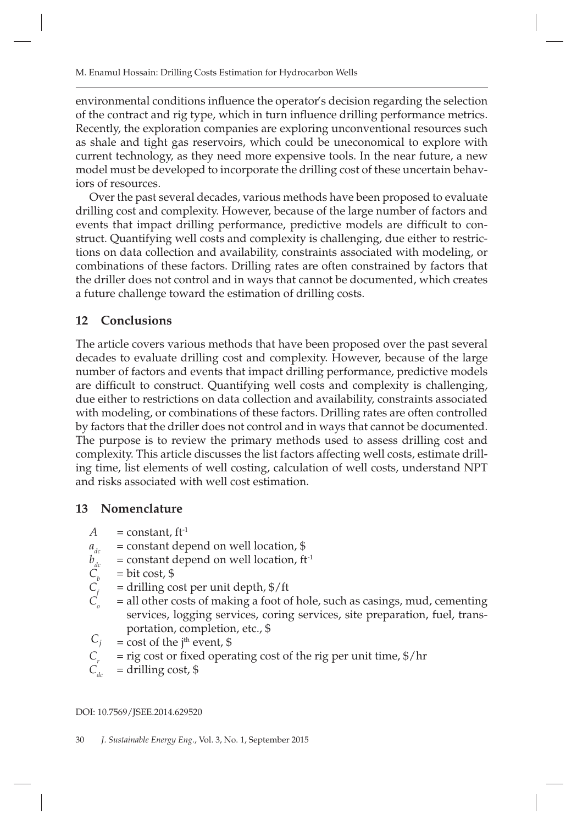environmental conditions influence the operator's decision regarding the selection of the contract and rig type, which in turn influence drilling performance metrics. Recently, the exploration companies are exploring unconventional resources such as shale and tight gas reservoirs, which could be uneconomical to explore with current technology, as they need more expensive tools. In the near future, a new model must be developed to incorporate the drilling cost of these uncertain behaviors of resources.

Over the past several decades, various methods have been proposed to evaluate drilling cost and complexity. However, because of the large number of factors and events that impact drilling performance, predictive models are difficult to construct. Quantifying well costs and complexity is challenging, due either to restrictions on data collection and availability, constraints associated with modeling, or combinations of these factors. Drilling rates are often constrained by factors that the driller does not control and in ways that cannot be documented, which creates a future challenge toward the estimation of drilling costs.

## **12 Conclusions**

The article covers various methods that have been proposed over the past several decades to evaluate drilling cost and complexity. However, because of the large number of factors and events that impact drilling performance, predictive models are difficult to construct. Quantifying well costs and complexity is challenging, due either to restrictions on data collection and availability, constraints associated with modeling, or combinations of these factors. Drilling rates are often controlled by factors that the driller does not control and in ways that cannot be documented. The purpose is to review the primary methods used to assess drilling cost and complexity. This article discusses the list factors affecting well costs, estimate drilling time, list elements of well costing, calculation of well costs, understand NPT and risks associated with well cost estimation.

## **13 Nomenclature**

- $A =$ constant, ft<sup>-1</sup>
- $a_{dc}$  = constant depend on well location, \$
- $=$  constant depend on well location,  $ft^{-1}$
- $C$ <sub>b</sub>  $=$  bit cost, \$
- $C$ <sub>f</sub> = drilling cost per unit depth, \$/ft
- *Co* = all other costs of making a foot of hole, such as casings, mud, cementing services, logging services, coring services, site preparation, fuel, transportation, completion, etc.,  $\oint$  = cost of the j<sup>th</sup> event,  $\oint$
- 
- $C_r$  = rig cost or fixed operating cost of the rig per unit time, \$/hr
- $=$  drilling cost, \$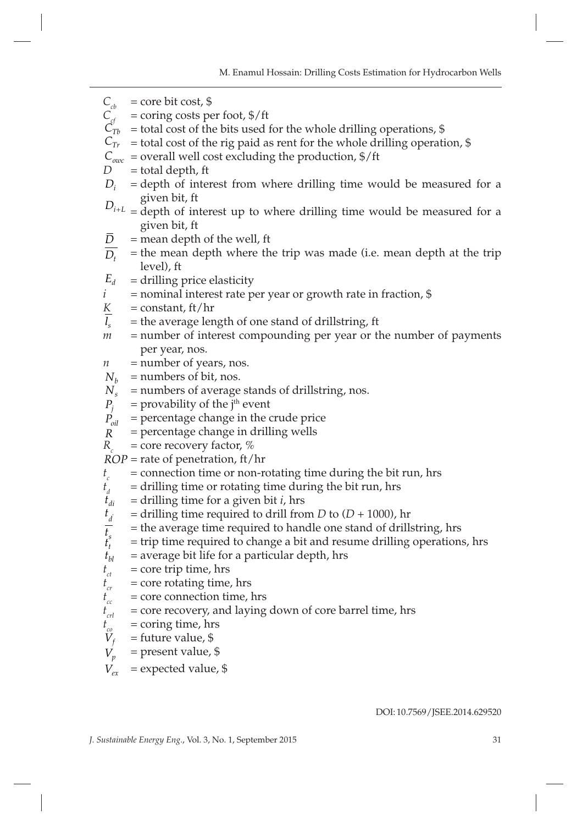$C_{cb}$  = core bit cost, \$

 $C_{\rm cf}$  = coring costs per foot, \$/ft

- $C_{Tb}$  = total cost of the bits used for the whole drilling operations, \$
- $C_{Tr}$  = total cost of the rig paid as rent for the whole drilling operation, \$
- $C_{\text{one}}$  = overall well cost excluding the production,  $\frac{C}{\sqrt{t}}$
- $D =$  total depth, ft
- $D_i$  = depth of interest from where drilling time would be measured for a
- $D_{i+L}$  = depth of interest up to where drilling time would be measured for a given bit, ft
- $\overline{D}$  = mean depth of the well, ft
- $\overline{D_t}$  = the mean depth where the trip was made (i.e. mean depth at the trip level), ft
- $E_d$  = drilling price elasticity
- *i* = nominal interest rate per year or growth rate in fraction,  $\frac{1}{8}$ <br> $K = \text{constant}$ , ft/hr
- $K = \text{constant}$ , ft/hr<br> $L = \text{the average len}$
- = the average length of one stand of drillstring, ft
- *m* = number of interest compounding per year or the number of payments per year, nos.
- $n =$  number of years, nos.
- $N_b$  = numbers of bit, nos.<br> $N_c$  = numbers of average
- *N<sub>s</sub>* = numbers of average stands of drillstring, nos.<br> $P_i$  = provability of the j<sup>th</sup> event
- 
- $P_j$  = provability of the j<sup>th</sup> event<br> $P_{oil}$  = percentage change in the c = percentage change in the crude price
- *R* = percentage change in drilling wells<br>*R* = core recovery factor, %
- = core recovery factor, %

*ROP* = rate of penetration, ft/hr

- *t*  $=$  connection time or non-rotating time during the bit run, hrs
- *t*  $\dot{t}_{di}$  = drilling time or rotating time during the bit run, hrs <br> $t_{di}$  = drilling time for a given bit *i*, hrs
- $=$  drilling time for a given bit *i*, hrs
- ' *d*  $t =$  drilling time required to drill from *D* to (*D* + 1000), hr
- *st* = the average time required to handle one stand of drillstring, hrs
- $t_t^s$  = trip time required to change a bit and resume drilling operations, hrs = average bit life for a particular depth, hrs
- $=$  average bit life for a particular depth, hrs
- $t_{ct}$ = core trip time, hrs
- $t_{cr}$ = core rotating time, hrs
	- = core connection time, hrs
	- $=$  core recovery, and laying down of core barrel time, hrs
- *t co* = coring time, hrs
- *Vf* = future value, \$

*t*

- = present value, \$
- = expected value, \$